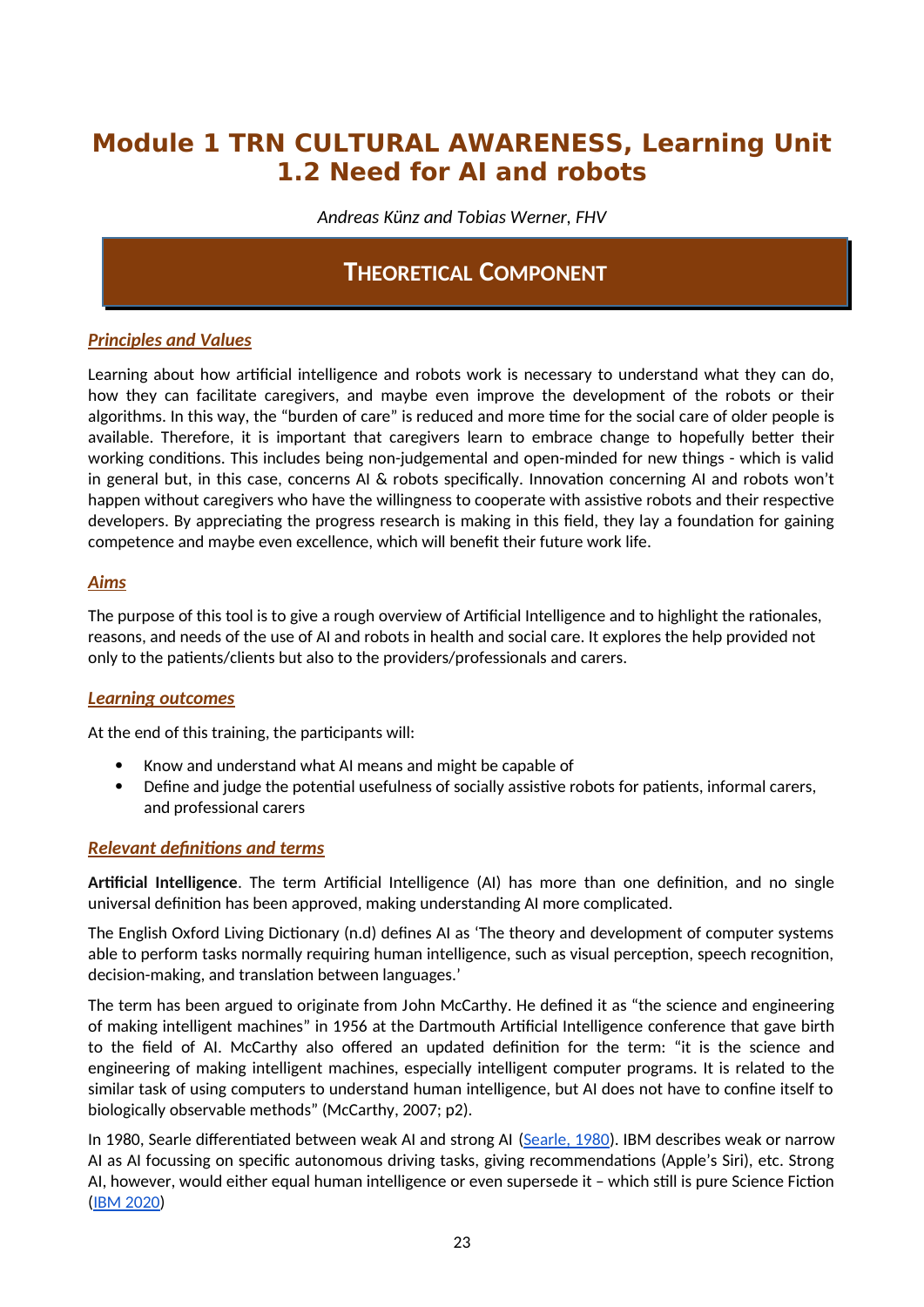# **Module 1 TRN CULTURAL AWARENESS, Learning Unit 1.2 Need for AI and robots**

*Andreas Künz and Tobias Werner, FHV*

# **THEORETICAL COMPONENT**

## *Principles and Values*

Learning about how artificial intelligence and robots work is necessary to understand what they can do, how they can facilitate caregivers, and maybe even improve the development of the robots or their algorithms. In this way, the "burden of care" is reduced and more time for the social care of older people is available. Therefore, it is important that caregivers learn to embrace change to hopefully better their working conditions. This includes being non-judgemental and open-minded for new things - which is valid in general but, in this case, concerns AI & robots specifically. Innovation concerning AI and robots won't happen without caregivers who have the willingness to cooperate with assistive robots and their respective developers. By appreciating the progress research is making in this field, they lay a foundation for gaining competence and maybe even excellence, which will benefit their future work life.

### *Aims*

The purpose of this tool is to give a rough overview of Artificial Intelligence and to highlight the rationales, reasons, and needs of the use of AI and robots in health and social care. It explores the help provided not only to the patients/clients but also to the providers/professionals and carers.

#### *Learning outcomes*

At the end of this training, the participants will:

- Know and understand what AI means and might be capable of
- Define and judge the potential usefulness of socially assistive robots for patients, informal carers, and professional carers

## *Relevant definitions and terms*

**Artificial Intelligence**. The term Artificial Intelligence (AI) has more than one definition, and no single universal definition has been approved, making understanding AI more complicated.

The English Oxford Living Dictionary (n.d) defines AI as 'The theory and development of computer systems able to perform tasks normally requiring human intelligence, such as visual perception, speech recognition, decision-making, and translation between languages.'

The term has been argued to originate from John McCarthy. He defined it as "the science and engineering of making intelligent machines" in 1956 at the Dartmouth Artificial Intelligence conference that gave birth to the field of AI. McCarthy also offered an updated definition for the term: "it is the science and engineering of making intelligent machines, especially intelligent computer programs. It is related to the similar task of using computers to understand human intelligence, but AI does not have to confine itself to biologically observable methods" (McCarthy, 2007; p2).

In 1980, Searle differentiated between weak AI and strong AI (Searle, 1980). IBM describes weak or narrow AI as AI focussing on specific autonomous driving tasks, giving recommendations (Apple's Siri), etc. Strong AI, however, would either equal human intelligence or even supersede it – which still is pure Science Fiction (IBM 2020)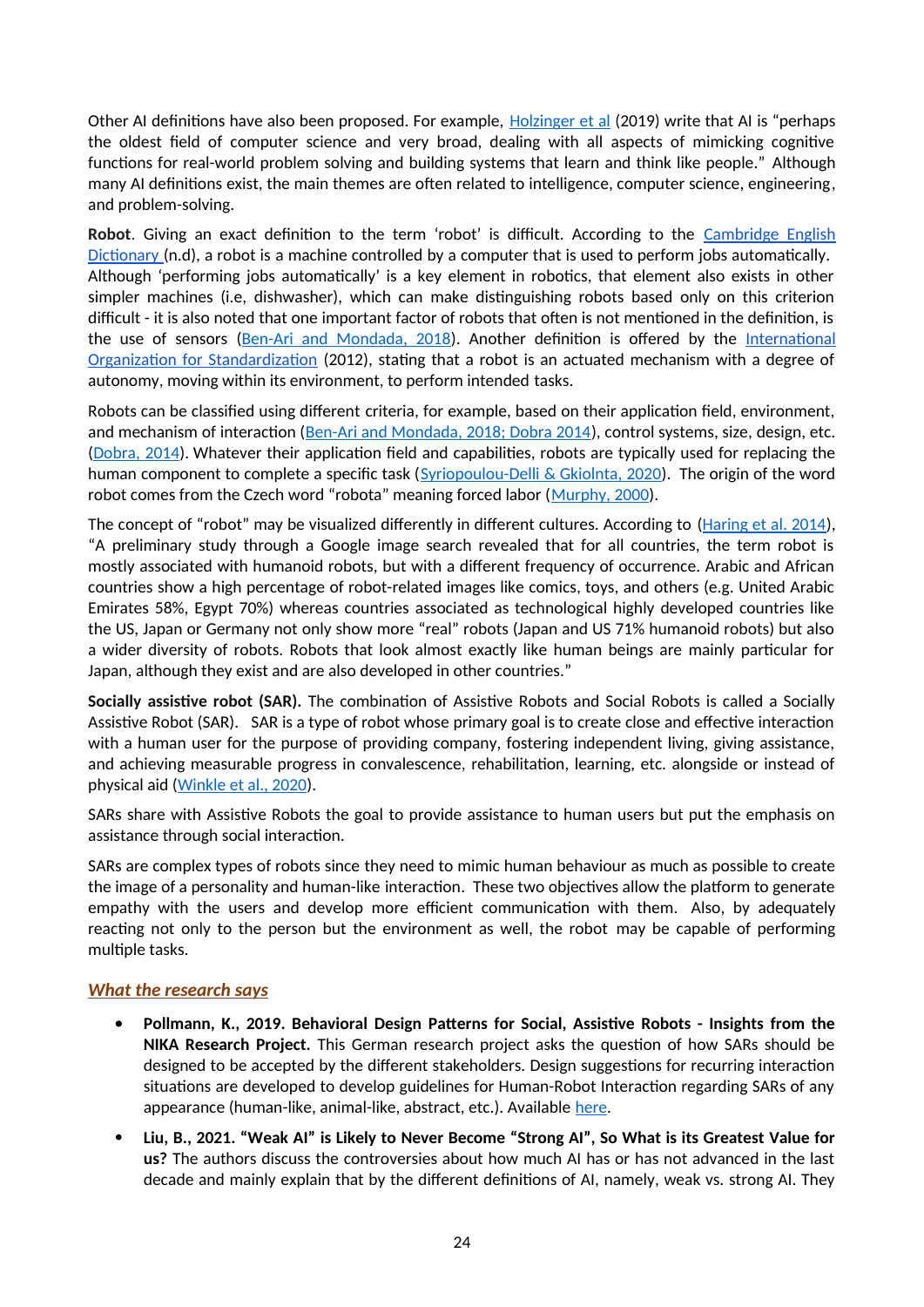Other AI definitions have also been proposed. For example, [Holzinger et al](https://wires.onlinelibrary.wiley.com/doi/epdf/10.1002/widm.1312) (2019) write that AI is "perhaps the oldest field of computer science and very broad, dealing with all aspects of mimicking cognitive functions for real-world problem solving and building systems that learn and think like people." Although many AI definitions exist, the main themes are often related to intelligence, computer science, engineering, and problem-solving.

**Robot**. Giving an exact definition to the term 'robot' is difficult. According to the Cambridge English Dictionary (n.d), a robot is a machine controlled by a computer that is used to perform jobs automatically. Although 'performing jobs automatically' is a key element in robotics, that element also exists in other simpler machines (i.e, dishwasher), which can make distinguishing robots based only on this criterion difficult - it is also noted that one important factor of robots that often is not mentioned in the definition, is the use of sensors ([Ben-Ari and Mondada, 2018\)](https://www.researchgate.net/publication/320674637_Robots_and_Their_Applications). Another definition is offered by the International Organization for Standardization (2012), stating that a robot is an actuated mechanism with a degree of autonomy, moving within its environment, to perform intended tasks.

Robots can be classified using different criteria, for example, based on their application field, environment, and mechanism of interaction ([Ben-Ari and Mondada, 2018; Dobra 2014](https://www.researchgate.net/publication/320674637_Robots_and_Their_Applications)), control systems, size, design, etc. [\(Dobra, 2014\)](https://www.researchgate.net/publication/286652452_General_classification_of_robots_Size_criteria). Whatever their application field and capabilities, robots are typically used for replacing the human component to complete a specific task ([Syriopoulou-Delli & Gkiolnta, 2020](https://www.researchgate.net/publication/337886810_Review_of_Assistive_Technology_in_the_training_of_Children_with_Autism_Spectrum_Disorders)). The origin of the word robot comes from the Czech word "robota" meaning forced labor ([Murphy, 2000](https://mitpress.mit.edu/books/introduction-ai-robotics-second-edition)).

The concept of "robot" may be visualized differently in different cultures. According to ([Haring et al. 2014\)](https://www.researchgate.net/publication/266416317_Cultural_Differences_in_Perception_and_Attitude_towards_Robots), "A preliminary study through a Google image search revealed that for all countries, the term robot is mostly associated with humanoid robots, but with a different frequency of occurrence. Arabic and African countries show a high percentage of robot-related images like comics, toys, and others (e.g. United Arabic Emirates 58%, Egypt 70%) whereas countries associated as technological highly developed countries like the US, Japan or Germany not only show more "real" robots (Japan and US 71% humanoid robots) but also a wider diversity of robots. Robots that look almost exactly like human beings are mainly particular for Japan, although they exist and are also developed in other countries."

**Socially assistive robot (SAR).** The combination of Assistive Robots and Social Robots is called a Socially Assistive Robot (SAR). SAR is a type of robot whose primary goal is to create close and effective interaction with a human user for the purpose of providing company, fostering independent living, giving assistance, and achieving measurable progress in convalescence, rehabilitation, learning, etc. alongside or instead of physical aid [\(Winkle et al., 2020\)](https://www.researchgate.net/publication/331576322_Mutual_Shaping_in_the_Design_of_Socially_Assistive_Robots_A_Case_Study_on_Social_Robots_for_Therapy).

SARs share with Assistive Robots the goal to provide assistance to human users but put the emphasis on assistance through social interaction.

SARs are complex types of robots since they need to mimic human behaviour as much as possible to create the image of a personality and human-like interaction. These two objectives allow the platform to generate empathy with the users and develop more efficient communication with them. Also, by adequately reacting not only to the person but the environment as well, the robot may be capable of performing multiple tasks.

## *What the research says*

- **Pollmann, K., 2019. Behavioral Design Patterns for Social, Assistive Robots Insights from the NIKA Research Project.** This German research project asks the question of how SARs should be designed to be accepted by the different stakeholders. Design suggestions for recurring interaction situations are developed to develop guidelines for Human-Robot Interaction regarding SARs of any appearance (human-like, animal-like, abstract, etc.). Available [here](https://dl.gi.de/bitstream/handle/20.500.12116/25217/587.pdf).
- **Liu, B., 2021. "Weak AI" is Likely to Never Become "Strong AI", So What is its Greatest Value for us?** The authors discuss the controversies about how much AI has or has not advanced in the last decade and mainly explain that by the different definitions of AI, namely, weak vs. strong AI. They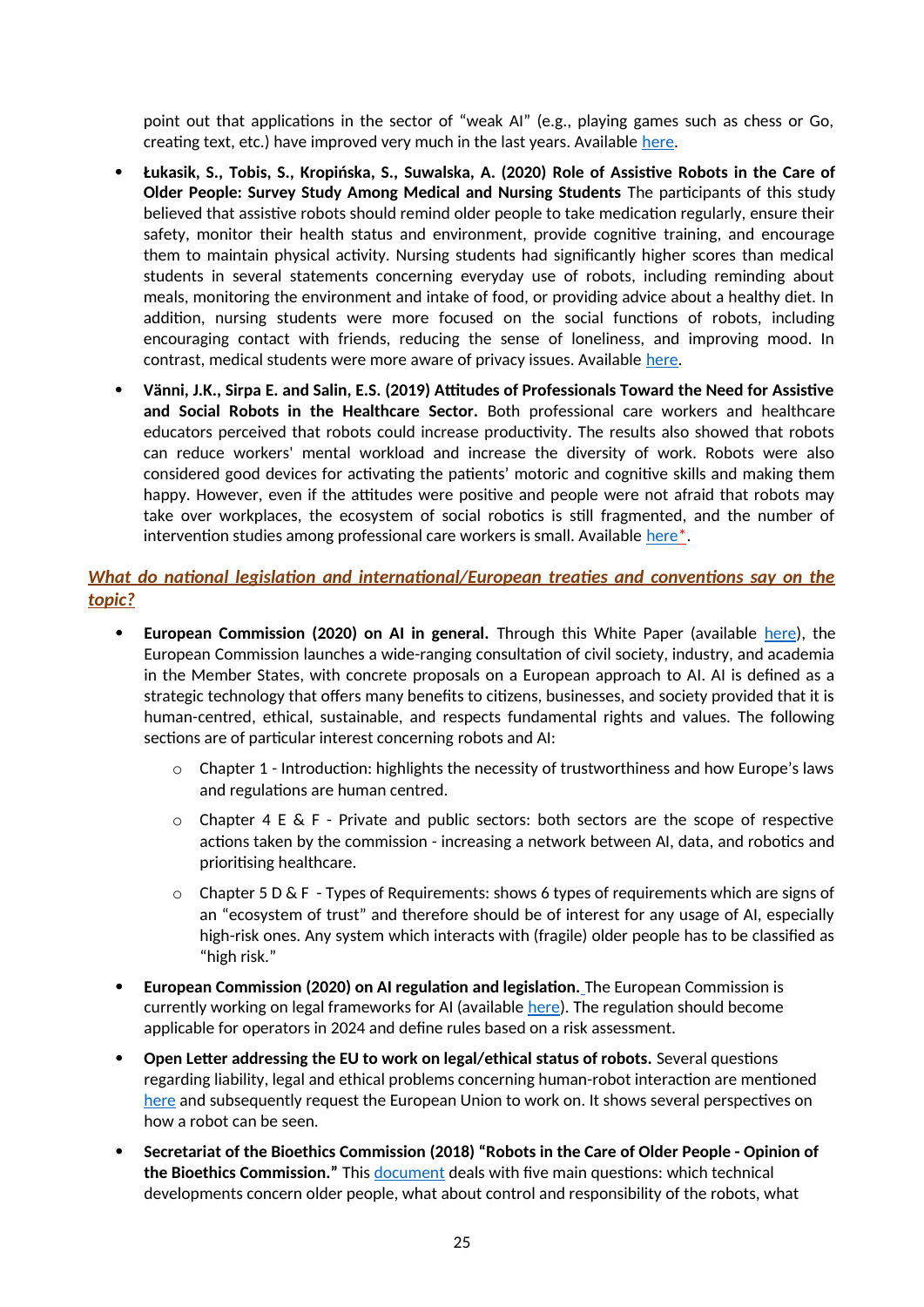point out that applications in the sector of "weak AI" (e.g., playing games such as chess or Go, creating text, etc.) have improved very much in the last years. Available [here](https://arxiv.org/pdf/2103.15294).

- **Łukasik, S., Tobis, S., Kropińska, S., Suwalska, A. (2020) Role of Assistive Robots in the Care of Older People: Survey Study Among Medical and Nursing Students** The participants of this study believed that assistive robots should remind older people to take medication regularly, ensure their safety, monitor their health status and environment, provide cognitive training, and encourage them to maintain physical activity. Nursing students had significantly higher scores than medical students in several statements concerning everyday use of robots, including reminding about meals, monitoring the environment and intake of food, or providing advice about a healthy diet. In addition, nursing students were more focused on the social functions of robots, including encouraging contact with friends, reducing the sense of loneliness, and improving mood. In contrast, medical students were more aware of privacy issues. Available [here](https://www.jmir.org/2020/8/e18003/).
- **Vänni, J.K., Sirpa E. and Salin, E.S. (2019) Attitudes of Professionals Toward the Need for Assistive and Social Robots in the Healthcare Sector.** Both professional care workers and healthcare educators perceived that robots could increase productivity. The results also showed that robots can reduce workers' mental workload and increase the diversity of work. Robots were also considered good devices for activating the patients' motoric and cognitive skills and making them happy. However, even if the attitudes were positive and people were not afraid that robots may take over workplaces, the ecosystem of social robotics is still fragmented, and the number of intervention studies among professional care workers is small. Available [here](https://link.springer.com/chapter/10.1007/978-3-030-17107-0_11)<sup>\*</sup>.

# *What do national legislation and international/European treaties and conventions say on the topic?*

- **European Commission (2020) on AI in general.** Through this White Paper (available [here](https://ec.europa.eu/info/sites/info/files/commission-white-paper-artificial-intelligence-feb2020_en.pdf)), the European Commission launches a wide-ranging consultation of civil society, industry, and academia in the Member States, with concrete proposals on a European approach to AI. AI is defined as a strategic technology that offers many benefits to citizens, businesses, and society provided that it is human-centred, ethical, sustainable, and respects fundamental rights and values. The following sections are of particular interest concerning robots and AI:
	- $\circ$  Chapter 1 Introduction: highlights the necessity of trustworthiness and how Europe's laws and regulations are human centred.
	- $\circ$  Chapter 4 E & F Private and public sectors: both sectors are the scope of respective actions taken by the commission - increasing a network between AI, data, and robotics and prioritising healthcare.
	- o Chapter 5 D & F Types of Requirements: shows 6 types of requirements which are signs of an "ecosystem of trust" and therefore should be of interest for any usage of AI, especially high-risk ones. Any system which interacts with (fragile) older people has to be classified as "high risk."
- **European Commission (2020) on AI regulation and legislation.** The European Commission is currently working on legal frameworks for AI (available [here\)](https://digital-strategy.ec.europa.eu/en/policies/regulatory-framework-ai). The regulation should become applicable for operators in 2024 and define rules based on a risk assessment.
- **Open Letter addressing the EU to work on legal/ethical status of robots.** Several questions regarding liability, legal and ethical problems concerning human-robot interaction are mentioned [here](http://www.robotics-openletter.eu/) and subsequently request the European Union to work on. It shows several perspectives on how a robot can be seen.
- **Secretariat of the Bioethics Commission (2018) "Robots in the Care of Older People Opinion of the Bioethics Commission."** This [document](https://www.bundeskanzleramt.gv.at/dam/jcr:abd7da80-3a20-4a5b-908a-8c2a571c7cb6/Robots_Care_Older_People.pdf) deals with five main questions: which technical developments concern older people, what about control and responsibility of the robots, what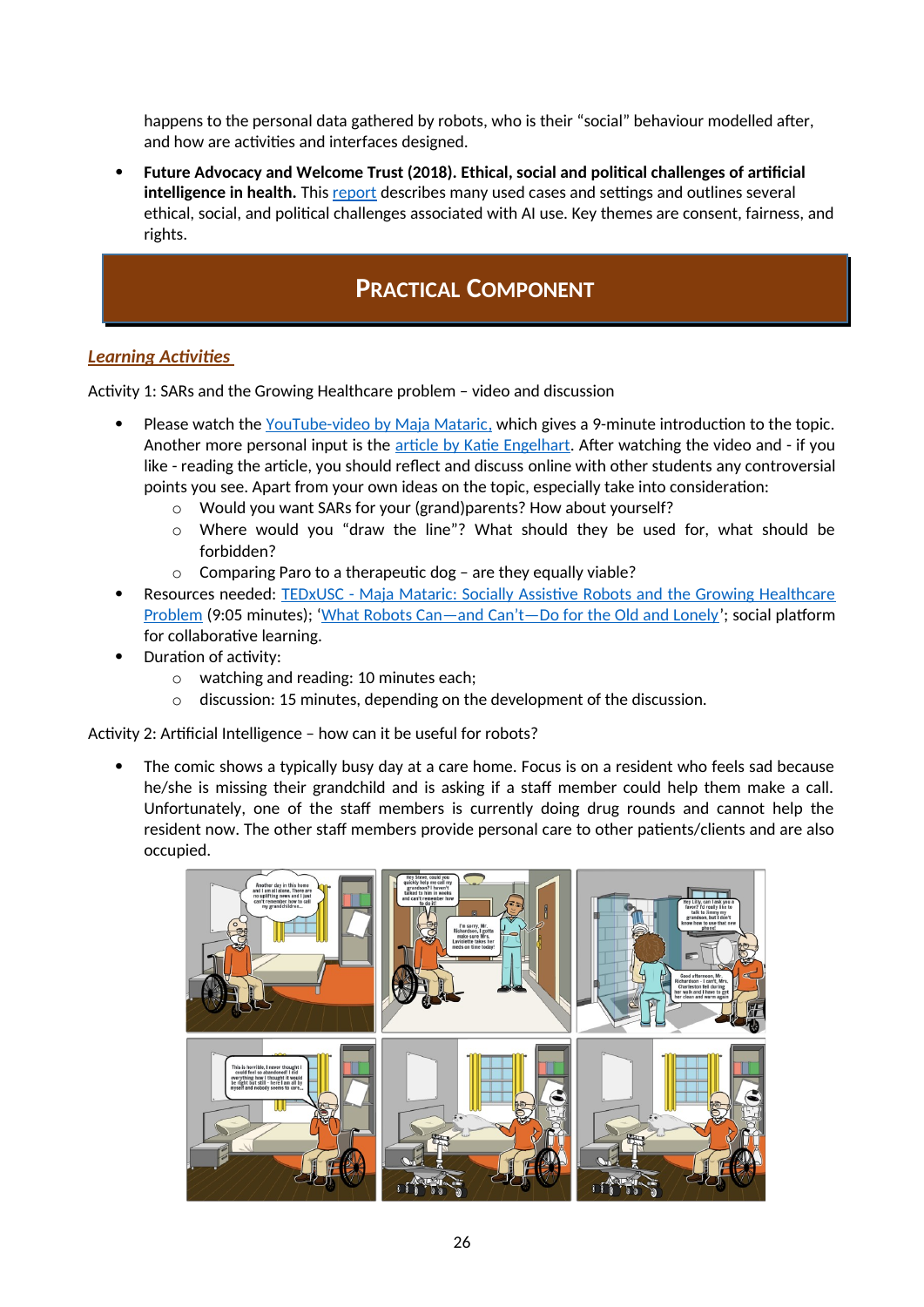happens to the personal data gathered by robots, who is their "social" behaviour modelled after, and how are activities and interfaces designed.

 **Future Advocacy and Welcome Trust (2018). Ethical, social and political challenges of artificial**  intelligence in health. This [report](https://futureadvocacy.com/publications/ethical-social-and-political-challenges-of-artificial-intelligence-in-health/) describes many used cases and settings and outlines several ethical, social, and political challenges associated with AI use. Key themes are consent, fairness, and rights.

# **PRACTICAL COMPONENT**

# *Learning Activities*

Activity 1: SARs and the Growing Healthcare problem – video and discussion

- Please watch the YouTube-video by Maja Mataric, which gives a 9-minute introduction to the topic. Another more personal input is the article by Katie Engelhart. After watching the video and - if you like - reading the article, you should reflect and discuss online with other students any controversial points you see. Apart from your own ideas on the topic, especially take into consideration:
	- o Would you want SARs for your (grand)parents? How about yourself?
	- o Where would you "draw the line"? What should they be used for, what should be forbidden?
	- o Comparing Paro to a therapeutic dog are they equally viable?
- Resources needed: [TEDxUSC Maja Mataric: Socially Assistive Robots and the Growing Healthcare](https://www.youtube.com/watch?v=mc0qdlFmnA8) [Problem](https://www.youtube.com/watch?v=mc0qdlFmnA8) (9:05 minutes); '[What Robots Can—and Can't—Do for the Old and Lonely'](https://www.newyorker.com/magazine/2021/05/31/what-robots-can-and-cant-do-for-the-old-and-lonely); social platform for collaborative learning.
- Duration of activity:
	- o watching and reading: 10 minutes each;
	- o discussion: 15 minutes, depending on the development of the discussion.

Activity 2: Artificial Intelligence – how can it be useful for robots?

 The comic shows a typically busy day at a care home. Focus is on a resident who feels sad because he/she is missing their grandchild and is asking if a staff member could help them make a call. Unfortunately, one of the staff members is currently doing drug rounds and cannot help the resident now. The other staff members provide personal care to other patients/clients and are also occupied.